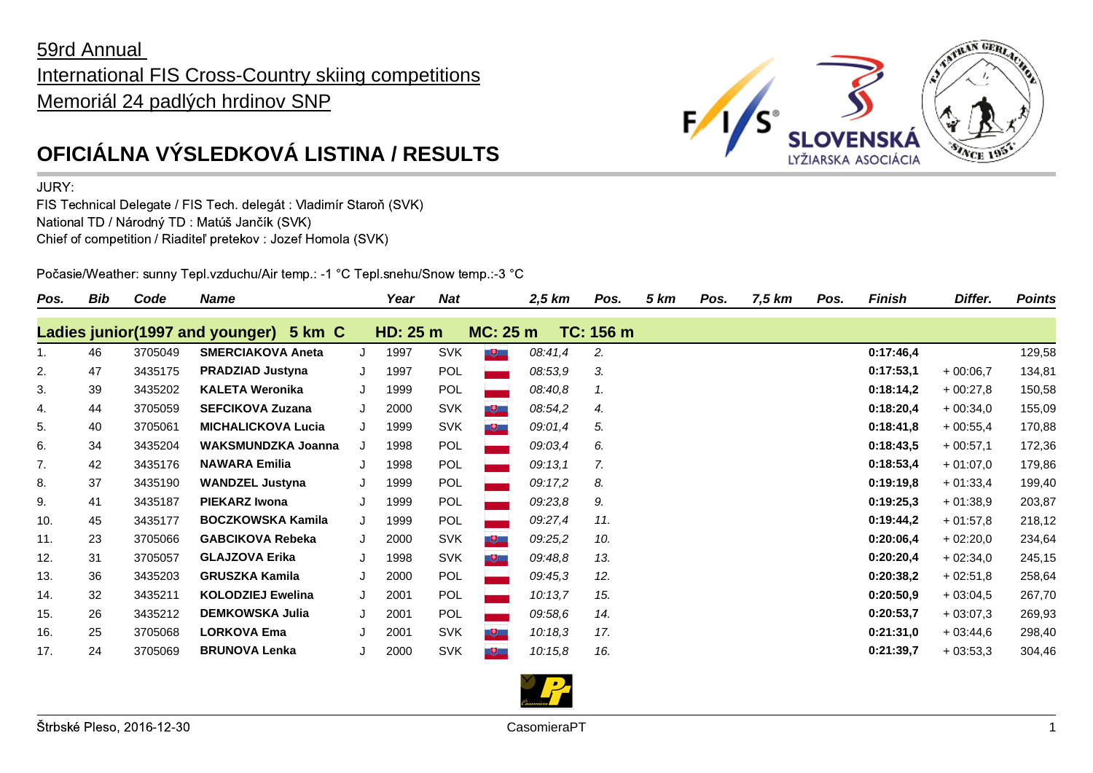## 59rd Annual International FIS Cross-Country skiing competitions Memoriál 24 padlých hrdinov SNP



## JURY:

FIS Technical Delegate / FIS Tech. delegát : Vladimír Staroň (SVK) National TD / Národný TD : Matúš Jančík (SVK) Chief of competition / Riaditeľ pretekov : Jozef Homola (SVK)

Počasie/Weather: sunny Tepl.vzduchu/Air temp.: -1 °C Tepl.snehu/Snow temp.:-3 °C

| Pos.           | <b>Bib</b> | Code    | Name                                      |   | Year     | <b>Nat</b> |                         | 2,5 km  | Pos.      | 5 km | Pos. | 7,5 km | Pos. | <b>Finish</b> | Differ.    | <b>Points</b> |
|----------------|------------|---------|-------------------------------------------|---|----------|------------|-------------------------|---------|-----------|------|------|--------|------|---------------|------------|---------------|
|                |            |         | Ladies junior(1997 and younger)<br>5 km C |   | HD: 25 m |            | MC: 25 m                |         | TC: 156 m |      |      |        |      |               |            |               |
| 1 <sub>1</sub> | 46         | 3705049 | <b>SMERCIAKOVA Aneta</b>                  | J | 1997     | <b>SVK</b> | $\mathbf{H}$            | 08:41,4 | 2.        |      |      |        |      | 0:17:46,4     |            | 129,58        |
| 2.             | 47         | 3435175 | <b>PRADZIAD Justyna</b>                   |   | 1997     | POL        |                         | 08:53,9 | 3.        |      |      |        |      | 0:17:53,1     | $+00:06,7$ | 134,81        |
| 3.             | 39         | 3435202 | <b>KALETA Weronika</b>                    | J | 1999     | POL        |                         | 08:40,8 | 1.        |      |      |        |      | 0:18:14,2     | $+00:27,8$ | 150,58        |
| 4.             | 44         | 3705059 | <b>SEFCIKOVA Zuzana</b>                   | J | 2000     | <b>SVK</b> | $\overline{\mathbf{e}}$ | 08:54,2 | 4.        |      |      |        |      | 0:18:20,4     | $+00:34,0$ | 155,09        |
| 5.             | 40         | 3705061 | <b>MICHALICKOVA Lucia</b>                 | J | 1999     | <b>SVK</b> | 巴巴                      | 09:01,4 | 5.        |      |      |        |      | 0:18:41,8     | $+00:55,4$ | 170,88        |
| 6.             | 34         | 3435204 | WAKSMUNDZKA Joanna                        |   | 1998     | <b>POL</b> |                         | 09:03,4 | 6.        |      |      |        |      | 0:18:43,5     | $+00:57,1$ | 172,36        |
| 7.             | 42         | 3435176 | <b>NAWARA Emilia</b>                      | J | 1998     | POL        |                         | 09:13,1 | 7.        |      |      |        |      | 0:18:53,4     | $+01:07.0$ | 179,86        |
| 8.             | 37         | 3435190 | <b>WANDZEL Justyna</b>                    | J | 1999     | POL        |                         | 09:17,2 | 8.        |      |      |        |      | 0:19:19,8     | $+01:33,4$ | 199,40        |
| 9.             | 41         | 3435187 | <b>PIEKARZ Iwona</b>                      | J | 1999     | POL        |                         | 09:23,8 | 9.        |      |      |        |      | 0:19:25,3     | $+01:38.9$ | 203,87        |
| 10.            | 45         | 3435177 | <b>BOCZKOWSKA Kamila</b>                  | J | 1999     | POL        |                         | 09:27,4 | 11.       |      |      |        |      | 0:19:44.2     | $+01:57.8$ | 218,12        |
| 11.            | 23         | 3705066 | <b>GABCIKOVA Rebeka</b>                   | J | 2000     | <b>SVK</b> | - 甲二                    | 09:25,2 | 10.       |      |      |        |      | 0:20:06,4     | $+02:20,0$ | 234,64        |
| 12.            | 31         | 3705057 | <b>GLAJZOVA Erika</b>                     | J | 1998     | <b>SVK</b> | $+$                     | 09:48,8 | 13.       |      |      |        |      | 0:20:20,4     | $+02:34,0$ | 245,15        |
| 13.            | 36         | 3435203 | <b>GRUSZKA Kamila</b>                     | J | 2000     | POL        |                         | 09:45.3 | 12.       |      |      |        |      | 0:20:38,2     | $+02:51.8$ | 258,64        |
| 14.            | 32         | 3435211 | <b>KOLODZIEJ Ewelina</b>                  | J | 2001     | POL        |                         | 10:13,7 | 15.       |      |      |        |      | 0:20:50.9     | $+03:04.5$ | 267,70        |
| 15.            | 26         | 3435212 | <b>DEMKOWSKA Julia</b>                    | J | 2001     | POL        |                         | 09:58,6 | 14.       |      |      |        |      | 0:20:53,7     | $+03:07.3$ | 269,93        |
| 16.            | 25         | 3705068 | <b>LORKOVA Ema</b>                        |   | 2001     | <b>SVK</b> | - 甲一                    | 10:18,3 | 17.       |      |      |        |      | 0:21:31,0     | $+03:44,6$ | 298,40        |
| 17.            | 24         | 3705069 | <b>BRUNOVA Lenka</b>                      |   | 2000     | <b>SVK</b> | <u> U</u>               | 10:15,8 | 16.       |      |      |        |      | 0:21:39,7     | $+03:53,3$ | 304,46        |